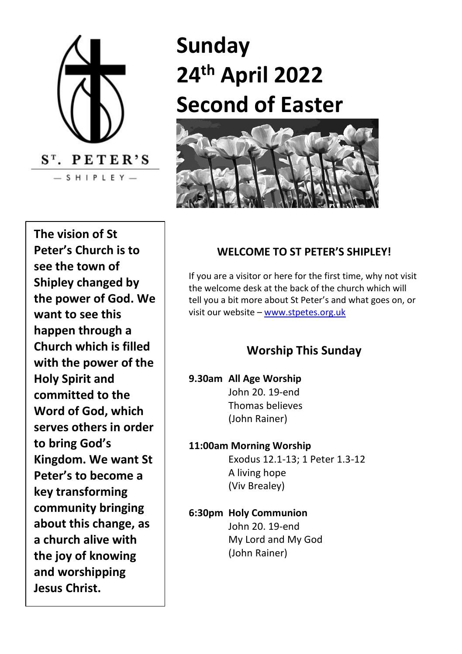

# **Sunday 24th April 2022 Second of Easter**



 **a church alive with The vision of St Peter's Church is to see the town of Shipley changed by the power of God. We want to see this happen through a Church which is filled with the power of the Holy Spirit and committed to the Word of God, which serves others in order to bring God's Kingdom. We want St Peter's to become a key transforming community bringing about this change, as the joy of knowing and worshipping Jesus Christ.**

#### **WELCOME TO ST PETER'S SHIPLEY!**

If you are a visitor or here for the first time, why not visit the welcome desk at the back of the church which will tell you a bit more about St Peter's and what goes on, or visit our website – [www.stpetes.org.uk](http://www.stpetes.org.uk/)

# **Worship This Sunday**

- **9.30am All Age Worship** John 20. 19-end Thomas believes (John Rainer)
- **11:00am Morning Worship** Exodus 12.1-13; 1 Peter 1.3-12 A living hope (Viv Brealey)
- **6:30pm Holy Communion**  John 20. 19-end My Lord and My God (John Rainer)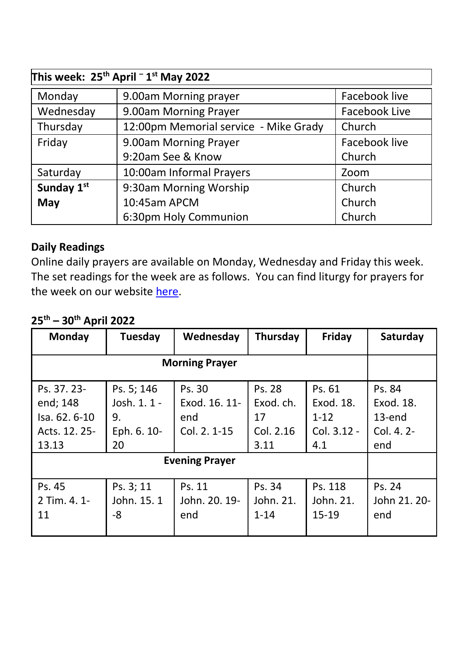| This week: 25 <sup>th</sup> April <sup>-</sup> 1 <sup>st</sup> May 2022 |                                       |               |  |  |  |  |
|-------------------------------------------------------------------------|---------------------------------------|---------------|--|--|--|--|
| Monday                                                                  | 9.00am Morning prayer                 | Facebook live |  |  |  |  |
| Wednesday                                                               | 9.00am Morning Prayer                 | Facebook Live |  |  |  |  |
| Thursday                                                                | 12:00pm Memorial service - Mike Grady | Church        |  |  |  |  |
| Friday                                                                  | 9.00am Morning Prayer                 | Facebook live |  |  |  |  |
|                                                                         | 9:20am See & Know                     | Church        |  |  |  |  |
| Saturday                                                                | 10:00am Informal Prayers              | Zoom          |  |  |  |  |
| Sunday 1st                                                              | 9:30am Morning Worship                | Church        |  |  |  |  |
| May                                                                     | 10:45am APCM                          | Church        |  |  |  |  |
|                                                                         | 6:30pm Holy Communion                 | Church        |  |  |  |  |

## **Daily Readings**

Online daily prayers are available on Monday, Wednesday and Friday this week. The set readings for the week are as follows. You can find liturgy for prayers for the week on our websit[e here.](https://stpetes.org.uk/)

# **25th – 30th April 2022**

| Monday                                                             | Tuesday                                               | Wednesday                                      | Thursday                                       | Friday                                                | Saturday                                             |
|--------------------------------------------------------------------|-------------------------------------------------------|------------------------------------------------|------------------------------------------------|-------------------------------------------------------|------------------------------------------------------|
| <b>Morning Prayer</b>                                              |                                                       |                                                |                                                |                                                       |                                                      |
| Ps. 37. 23-<br>end; 148<br>Isa. 62. 6-10<br>Acts. 12. 25-<br>13.13 | Ps. 5; 146<br>Josh. 1. 1 -<br>9.<br>Eph. 6. 10-<br>20 | Ps. 30<br>Exod. 16. 11-<br>end<br>Col. 2. 1-15 | Ps. 28<br>Exod. ch.<br>17<br>Col. 2.16<br>3.11 | Ps. 61<br>Exod. 18.<br>$1 - 12$<br>Col. 3.12 -<br>4.1 | Ps. 84<br>Exod. 18.<br>$13$ -end<br>Col. 4.2-<br>end |
| <b>Evening Prayer</b>                                              |                                                       |                                                |                                                |                                                       |                                                      |
| Ps. 45<br>2 Tim. 4. 1-<br>11                                       | Ps. 3; 11<br>John. 15. 1<br>-8                        | Ps. 11<br>John. 20. 19-<br>end                 | Ps. 34<br>John. 21.<br>$1 - 14$                | Ps. 118<br>John. 21.<br>$15 - 19$                     | Ps. 24<br>John 21, 20-<br>end                        |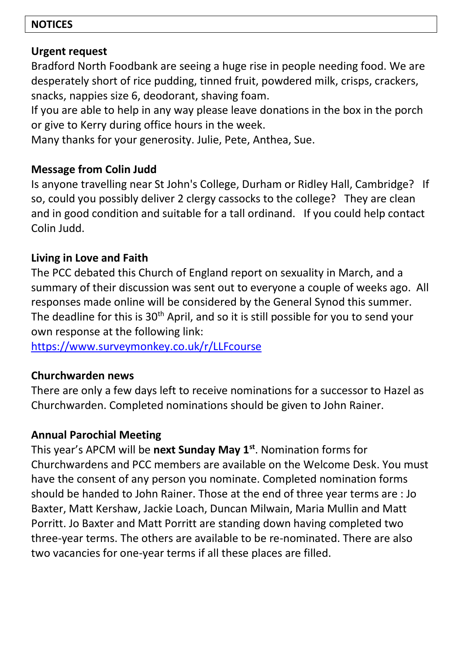#### **NOTICES**

## **Urgent request**

Bradford North Foodbank are seeing a huge rise in people needing food. We are desperately short of rice pudding, tinned fruit, powdered milk, crisps, crackers, snacks, nappies size 6, deodorant, shaving foam.

If you are able to help in any way please leave donations in the box in the porch or give to Kerry during office hours in the week.

Many thanks for your generosity. Julie, Pete, Anthea, Sue.

# **Message from Colin Judd**

Is anyone travelling near St John's College, Durham or Ridley Hall, Cambridge? If so, could you possibly deliver 2 clergy cassocks to the college? They are clean and in good condition and suitable for a tall ordinand. If you could help contact Colin Judd.

# **Living in Love and Faith**

The PCC debated this Church of England report on sexuality in March, and a summary of their discussion was sent out to everyone a couple of weeks ago. All responses made online will be considered by the General Synod this summer. The deadline for this is 30<sup>th</sup> April, and so it is still possible for you to send your own response at the following link:

<https://www.surveymonkey.co.uk/r/LLFcourse>

# **Churchwarden news**

There are only a few days left to receive nominations for a successor to Hazel as Churchwarden. Completed nominations should be given to John Rainer.

# **Annual Parochial Meeting**

This year's APCM will be **next Sunday May 1st**. Nomination forms for Churchwardens and PCC members are available on the Welcome Desk. You must have the consent of any person you nominate. Completed nomination forms should be handed to John Rainer. Those at the end of three year terms are : Jo Baxter, Matt Kershaw, Jackie Loach, Duncan Milwain, Maria Mullin and Matt Porritt. Jo Baxter and Matt Porritt are standing down having completed two three-year terms. The others are available to be re-nominated. There are also two vacancies for one-year terms if all these places are filled.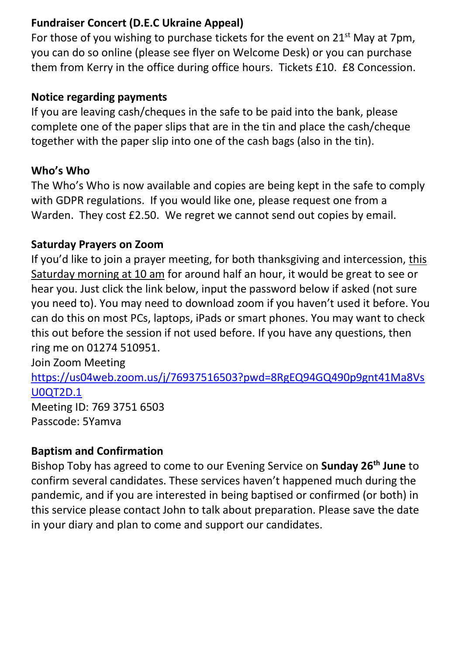## **Fundraiser Concert (D.E.C Ukraine Appeal)**

For those of you wishing to purchase tickets for the event on 21<sup>st</sup> May at 7pm, you can do so online (please see flyer on Welcome Desk) or you can purchase them from Kerry in the office during office hours. Tickets £10. £8 Concession.

#### **Notice regarding payments**

If you are leaving cash/cheques in the safe to be paid into the bank, please complete one of the paper slips that are in the tin and place the cash/cheque together with the paper slip into one of the cash bags (also in the tin).

## **Who's Who**

The Who's Who is now available and copies are being kept in the safe to comply with GDPR regulations. If you would like one, please request one from a Warden. They cost £2.50. We regret we cannot send out copies by email.

## **Saturday Prayers on Zoom**

If you'd like to join a prayer meeting, for both thanksgiving and intercession, [this](x-apple-data-detectors://21/)  [Saturday morning at 10 am](x-apple-data-detectors://21/) for around half an hour, it would be great to see or hear you. Just click the link below, input the password below if asked (not sure you need to). You may need to download zoom if you haven't used it before. You can do this on most PCs, laptops, iPads or smart phones. You may want to check this out before the session if not used before. If you have any questions, then ring me on 01274 510951.

Join Zoom Meeting

[https://us04web.zoom.us/j/76937516503?pwd=8RgEQ94GQ490p9gnt41Ma8Vs](https://us04web.zoom.us/j/76937516503?pwd=8RgEQ94GQ490p9gnt41Ma8VsU0QT2D.1) [U0QT2D.1](https://us04web.zoom.us/j/76937516503?pwd=8RgEQ94GQ490p9gnt41Ma8VsU0QT2D.1)

Meeting ID: 769 3751 6503 Passcode: 5Yamva

## **Baptism and Confirmation**

Bishop Toby has agreed to come to our Evening Service on **Sunday 26th June** to confirm several candidates. These services haven't happened much during the pandemic, and if you are interested in being baptised or confirmed (or both) in this service please contact John to talk about preparation. Please save the date in your diary and plan to come and support our candidates.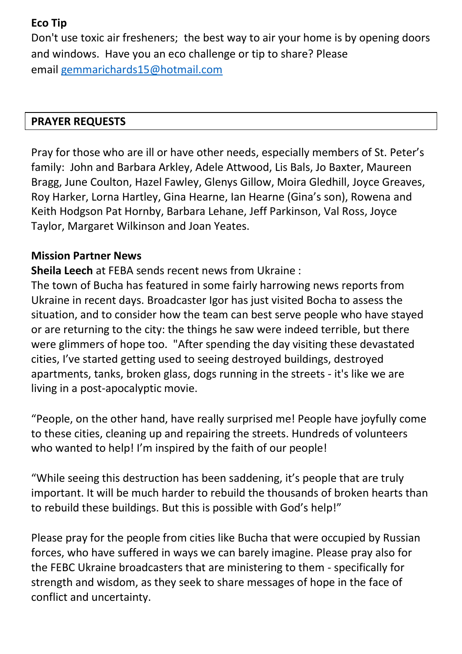#### **Eco Tip**

Don't use toxic air fresheners; the best way to air your home is by opening doors and windows. Have you an eco challenge or tip to share? Please email [gemmarichards15@hotmail.com](mailto:gemmarichards15@hotmail.com)

## **PRAYER REQUESTS**

Pray for those who are ill or have other needs, especially members of St. Peter's family: John and Barbara Arkley, Adele Attwood, Lis Bals, Jo Baxter, Maureen Bragg, June Coulton, Hazel Fawley, Glenys Gillow, Moira Gledhill, Joyce Greaves, Roy Harker, Lorna Hartley, Gina Hearne, Ian Hearne (Gina's son), Rowena and Keith Hodgson Pat Hornby, Barbara Lehane, Jeff Parkinson, Val Ross, Joyce Taylor, Margaret Wilkinson and Joan Yeates.

## **Mission Partner News**

**Sheila Leech** at FEBA sends recent news from Ukraine :

The town of Bucha has featured in some fairly harrowing news reports from Ukraine in recent days. Broadcaster Igor has just visited Bocha to assess the situation, and to consider how the team can best serve people who have stayed or are returning to the city: the things he saw were indeed terrible, but there were glimmers of hope too. "After spending the day visiting these devastated cities, I've started getting used to seeing destroyed buildings, destroyed apartments, tanks, broken glass, dogs running in the streets - it's like we are living in a post-apocalyptic movie.

"People, on the other hand, have really surprised me! People have joyfully come to these cities, cleaning up and repairing the streets. Hundreds of volunteers who wanted to help! I'm inspired by the faith of our people!

"While seeing this destruction has been saddening, it's people that are truly important. It will be much harder to rebuild the thousands of broken hearts than to rebuild these buildings. But this is possible with God's help!"

Please pray for the people from cities like Bucha that were occupied by Russian forces, who have suffered in ways we can barely imagine. Please pray also for the FEBC Ukraine broadcasters that are ministering to them - specifically for strength and wisdom, as they seek to share messages of hope in the face of conflict and uncertainty.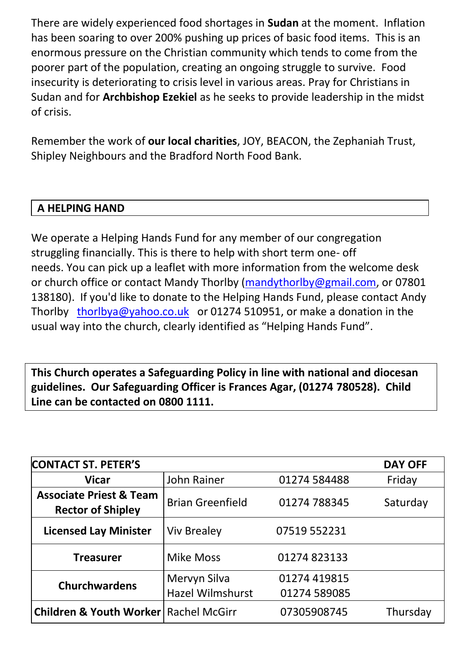There are widely experienced food shortages in **Sudan** at the moment. Inflation has been soaring to over 200% pushing up prices of basic food items. This is an enormous pressure on the Christian community which tends to come from the poorer part of the population, creating an ongoing struggle to survive. Food insecurity is deteriorating to crisis level in various areas. Pray for Christians in Sudan and for **Archbishop Ezekiel** as he seeks to provide leadership in the midst of crisis.

Remember the work of **our local charities**, JOY, BEACON, the Zephaniah Trust, Shipley Neighbours and the Bradford North Food Bank.

## **A HELPING HAND**

We operate a Helping Hands Fund for any member of our congregation struggling financially. This is there to help with short term one- off needs. You can pick up a leaflet with more information from the welcome desk or church office or contact Mandy Thorlby [\(mandythorlby@g](mailto:mandythorlby@)mail.com, or 07801 138180). If you'd like to donate to the Helping Hands Fund, please contact Andy Thorlby [thorlbya@yahoo.co.uk](mailto:thorlbya@yahoo.co.uk) or 01274 510951, or make a donation in the usual way into the church, clearly identified as "Helping Hands Fund".

**This Church operates a Safeguarding Policy in line with national and diocesan guidelines. Our Safeguarding Officer is Frances Agar, (01274 780528). Child Line can be contacted on 0800 1111.**

| <b>CONTACT ST. PETER'S</b>                                     |                                  |                              | <b>DAY OFF</b> |
|----------------------------------------------------------------|----------------------------------|------------------------------|----------------|
| <b>Vicar</b>                                                   | John Rainer                      | 01274 584488                 | Friday         |
| <b>Associate Priest &amp; Team</b><br><b>Rector of Shipley</b> | <b>Brian Greenfield</b>          | 01274 788345                 | Saturday       |
| <b>Licensed Lay Minister</b>                                   | <b>Viv Brealey</b>               | 07519 552231                 |                |
| <b>Treasurer</b>                                               | Mike Moss                        | 01274 823133                 |                |
| <b>Churchwardens</b>                                           | Mervyn Silva<br>Hazel Wilmshurst | 01274 419815<br>01274 589085 |                |
| <b>Children &amp; Youth Worker</b>                             | Rachel McGirr                    | 07305908745                  | Thursday       |